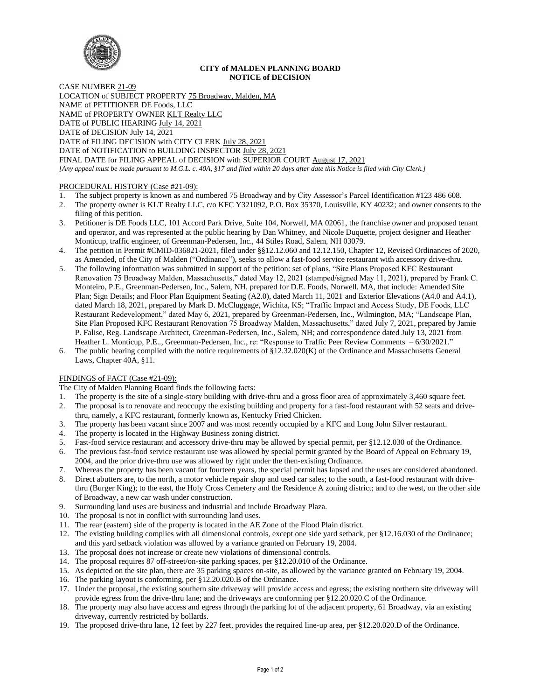

#### **CITY of MALDEN PLANNING BOARD NOTICE of DECISION**

CASE NUMBER 21-09 LOCATION of SUBJECT PROPERTY 75 Broadway, Malden, MA NAME of PETITIONER DE Foods, LLC NAME of PROPERTY OWNER KLT Realty LLC DATE of PUBLIC HEARING July 14, 2021 DATE of DECISION July 14, 2021 DATE of FILING DECISION with CITY CLERK July 28, 2021 DATE of NOTIFICATION to BUILDING INSPECTOR July 28, 2021 FINAL DATE for FILING APPEAL of DECISION with SUPERIOR COURT August 17, 2021 *[Any appeal must be made pursuant to M.G.L. c. 40A, §17 and filed within 20 days after date this Notice is filed with City Clerk.]* 

# PROCEDURAL HISTORY (Case #21-09):

- 
- 1. The subject property is known as and numbered 75 Broadway and by City Assessor's Parcel Identification #123 486 608.<br>2. The property owner is KLT Realty LLC, c/o KFC Y321092, P.O. Box 35370, Louisville, KY 40232; and ow 2. The property owner is KLT Realty LLC, c/o KFC Y321092, P.O. Box 35370, Louisville, KY 40232; and owner consents to the filing of this petition.
- 3. Petitioner is DE Foods LLC, 101 Accord Park Drive, Suite 104, Norwell, MA 02061, the franchise owner and proposed tenant and operator, and was represented at the public hearing by Dan Whitney, and Nicole Duquette, project designer and Heather Monticup, traffic engineer, of Greenman-Pedersen, Inc., 44 Stiles Road, Salem, NH 03079.
- 4. The petition in Permit #CMID-036821-2021, filed under §§12.12.060 and 12.12.150, Chapter 12, Revised Ordinances of 2020, as Amended, of the City of Malden ("Ordinance"), seeks to allow a fast-food service restaurant with accessory drive-thru.
- 5. The following information was submitted in support of the petition: set of plans, "Site Plans Proposed KFC Restaurant Renovation 75 Broadway Malden, Massachusetts," dated May 12, 2021 (stamped/signed May 11, 2021), prepared by Frank C. Monteiro, P.E., Greenman-Pedersen, Inc., Salem, NH, prepared for D.E. Foods, Norwell, MA, that include: Amended Site Plan; Sign Details; and Floor Plan Equipment Seating (A2.0), dated March 11, 2021 and Exterior Elevations (A4.0 and A4.1), dated March 18, 2021, prepared by Mark D. McCluggage, Wichita, KS; "Traffic Impact and Access Study, DE Foods, LLC Restaurant Redevelopment," dated May 6, 2021, prepared by Greenman-Pedersen, Inc., Wilmington, MA; "Landscape Plan, Site Plan Proposed KFC Restaurant Renovation 75 Broadway Malden, Massachusetts," dated July 7, 2021, prepared by Jamie P. Falise, Reg. Landscape Architect, Greenman-Pedersen, Inc., Salem, NH; and correspondence dated July 13, 2021 from Heather L. Monticup, P.E.., Greenman-Pedersen, Inc., re: "Response to Traffic Peer Review Comments – 6/30/2021."
- 6. The public hearing complied with the notice requirements of §12.32.020(K) of the Ordinance and Massachusetts General Laws, Chapter 40A, §11.

# FINDINGS of FACT (Case #21-09):

The City of Malden Planning Board finds the following facts:

- 1. The property is the site of a single-story building with drive-thru and a gross floor area of approximately 3,460 square feet.
- 2. The proposal is to renovate and reoccupy the existing building and property for a fast-food restaurant with 52 seats and drivethru, namely, a KFC restaurant, formerly known as, Kentucky Fried Chicken.
- 3. The property has been vacant since 2007 and was most recently occupied by a KFC and Long John Silver restaurant.
- 
- 4. The property is located in the Highway Business zoning district.<br>5. Fast-food service restaurant and accessory drive-thru may be alle-5. Fast-food service restaurant and accessory drive-thru may be allowed by special permit, per §12.12.030 of the Ordinance.
- 6. The previous fast-food service restaurant use was allowed by special permit granted by the Board of Appeal on February 19, 2004, and the prior drive-thru use was allowed by right under the then-existing Ordinance.
- 7. Whereas the property has been vacant for fourteen years, the special permit has lapsed and the uses are considered abandoned.
- 8. Direct abutters are, to the north, a motor vehicle repair shop and used car sales; to the south, a fast-food restaurant with drivethru (Burger King); to the east, the Holy Cross Cemetery and the Residence A zoning district; and to the west, on the other side of Broadway, a new car wash under construction.
- 9. Surrounding land uses are business and industrial and include Broadway Plaza.
- 10. The proposal is not in conflict with surrounding land uses.
- 11. The rear (eastern) side of the property is located in the AE Zone of the Flood Plain district.
- 12. The existing building complies with all dimensional controls, except one side yard setback, per §12.16.030 of the Ordinance; and this yard setback violation was allowed by a variance granted on February 19, 2004.
- 13. The proposal does not increase or create new violations of dimensional controls.
- 14. The proposal requires 87 off-street/on-site parking spaces, per §12.20.010 of the Ordinance.
- 15. As depicted on the site plan, there are 35 parking spaces on-site, as allowed by the variance granted on February 19, 2004.
- 16. The parking layout is conforming, per §12.20.020.B of the Ordinance.
- 17. Under the proposal, the existing southern site driveway will provide access and egress; the existing northern site driveway will provide egress from the drive-thru lane; and the driveways are conforming per §12.20.020.C of the Ordinance.
- 18. The property may also have access and egress through the parking lot of the adjacent property, 61 Broadway, via an existing driveway, currently restricted by bollards.
- 19. The proposed drive-thru lane, 12 feet by 227 feet, provides the required line-up area, per §12.20.020.D of the Ordinance.